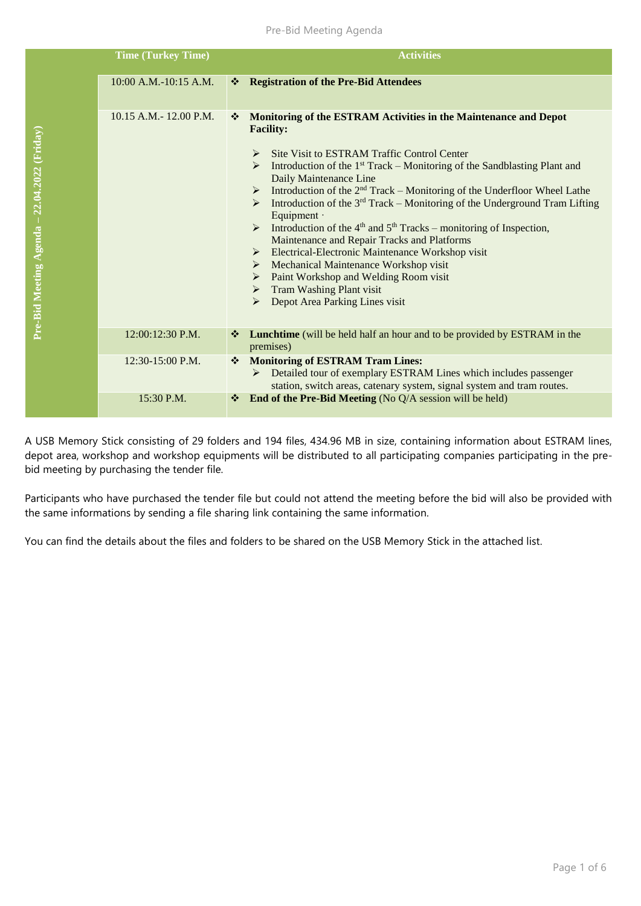## Pre-Bid Meeting Agenda

|                                              | <b>Time (Turkey Time)</b>   | <b>Activities</b>                                                                                                                                                                                                                                                                                                                                                                                                                                                                                                                                                                                                                                                                                                                                                                                                                                                                                                                      |
|----------------------------------------------|-----------------------------|----------------------------------------------------------------------------------------------------------------------------------------------------------------------------------------------------------------------------------------------------------------------------------------------------------------------------------------------------------------------------------------------------------------------------------------------------------------------------------------------------------------------------------------------------------------------------------------------------------------------------------------------------------------------------------------------------------------------------------------------------------------------------------------------------------------------------------------------------------------------------------------------------------------------------------------|
|                                              | 10:00 A.M.-10:15 A.M.       | <b>Registration of the Pre-Bid Attendees</b><br><b>AND</b>                                                                                                                                                                                                                                                                                                                                                                                                                                                                                                                                                                                                                                                                                                                                                                                                                                                                             |
| Pre-Bid Meeting Agenda - 22.04.2022 (Friday) | $10.15$ A.M. $- 12.00$ P.M. | Monitoring of the ESTRAM Activities in the Maintenance and Depot<br>❖<br><b>Facility:</b><br>Site Visit to ESTRAM Traffic Control Center<br>➤<br>Introduction of the $1st$ Track – Monitoring of the Sandblasting Plant and<br>Daily Maintenance Line<br>$\triangleright$ Introduction of the 2 <sup>nd</sup> Track – Monitoring of the Underfloor Wheel Lathe<br>$\triangleright$ Introduction of the 3 <sup>rd</sup> Track – Monitoring of the Underground Tram Lifting<br>Equipment ·<br>$\triangleright$ Introduction of the 4 <sup>th</sup> and 5 <sup>th</sup> Tracks – monitoring of Inspection,<br>Maintenance and Repair Tracks and Platforms<br>Electrical-Electronic Maintenance Workshop visit<br>$\triangleright$ Mechanical Maintenance Workshop visit<br>$\triangleright$ Paint Workshop and Welding Room visit<br>$\triangleright$ Tram Washing Plant visit<br>Depot Area Parking Lines visit<br>$\blacktriangleright$ |
|                                              | $12:00:12:30$ P.M.          | Lunchtime (will be held half an hour and to be provided by ESTRAM in the<br>❖<br>premises)                                                                                                                                                                                                                                                                                                                                                                                                                                                                                                                                                                                                                                                                                                                                                                                                                                             |
|                                              | 12:30-15:00 P.M.            | <b>Monitoring of ESTRAM Tram Lines:</b><br>❖<br>Detailed tour of exemplary ESTRAM Lines which includes passenger<br>➤<br>station, switch areas, catenary system, signal system and tram routes.                                                                                                                                                                                                                                                                                                                                                                                                                                                                                                                                                                                                                                                                                                                                        |
|                                              | 15:30 P.M.                  | End of the Pre-Bid Meeting (No Q/A session will be held)<br>❖                                                                                                                                                                                                                                                                                                                                                                                                                                                                                                                                                                                                                                                                                                                                                                                                                                                                          |

A USB Memory Stick consisting of 29 folders and 194 files, 434.96 MB in size, containing information about ESTRAM lines, depot area, workshop and workshop equipments will be distributed to all participating companies participating in the prebid meeting by purchasing the tender file.

Participants who have purchased the tender file but could not attend the meeting before the bid will also be provided with the same informations by sending a file sharing link containing the same information.

You can find the details about the files and folders to be shared on the USB Memory Stick in the attached list.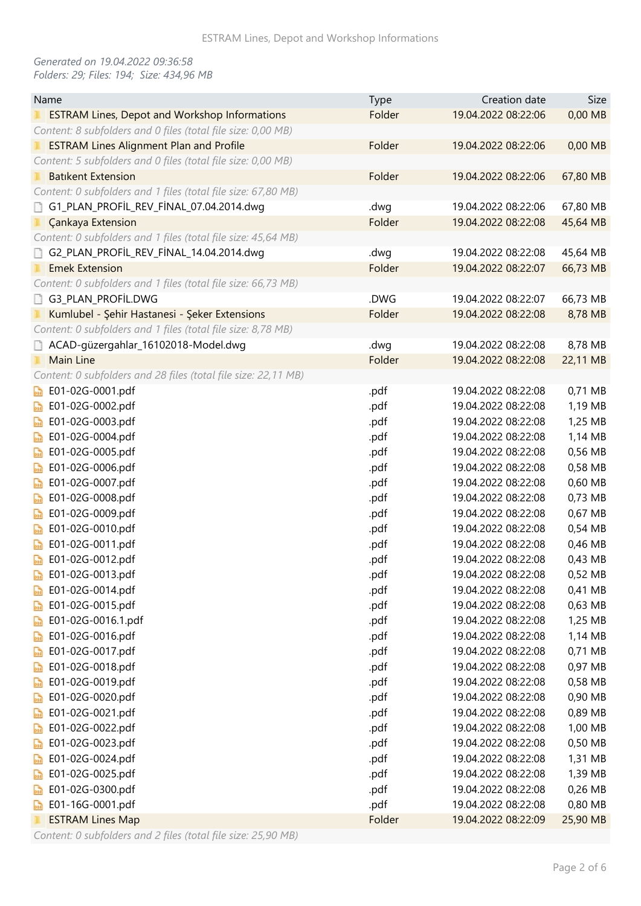## *Generated on 19.04.2022 09:36:58 Folders: 29; Files: 194; Size: 434,96 MB*

| Name                                                           | <b>Type</b> | Creation date       | Size     |
|----------------------------------------------------------------|-------------|---------------------|----------|
| <b>ESTRAM Lines, Depot and Workshop Informations</b>           | Folder      | 19.04.2022 08:22:06 | 0,00 MB  |
| Content: 8 subfolders and 0 files (total file size: 0,00 MB)   |             |                     |          |
| <b>ESTRAM Lines Alignment Plan and Profile</b>                 | Folder      | 19.04.2022 08:22:06 | 0,00 MB  |
| Content: 5 subfolders and 0 files (total file size: 0,00 MB)   |             |                     |          |
| <b>Batikent Extension</b>                                      | Folder      | 19.04.2022 08:22:06 | 67,80 MB |
| Content: 0 subfolders and 1 files (total file size: 67,80 MB)  |             |                     |          |
| G1_PLAN_PROFIL_REV_FINAL_07.04.2014.dwg                        | .dwg        | 19.04.2022 08:22:06 | 67,80 MB |
| <b>Çankaya Extension</b>                                       | Folder      | 19.04.2022 08:22:08 | 45,64 MB |
| Content: 0 subfolders and 1 files (total file size: 45,64 MB)  |             |                     |          |
| G2_PLAN_PROFIL_REV_FINAL_14.04.2014.dwg                        | .dwg        | 19.04.2022 08:22:08 | 45,64 MB |
| <b>Emek Extension</b>                                          | Folder      | 19.04.2022 08:22:07 | 66,73 MB |
| Content: 0 subfolders and 1 files (total file size: 66,73 MB)  |             |                     |          |
| G3_PLAN_PROFIL.DWG                                             | .DWG        | 19.04.2022 08:22:07 | 66,73 MB |
| Kumlubel - Şehir Hastanesi - Şeker Extensions                  | Folder      | 19.04.2022 08:22:08 | 8,78 MB  |
| Content: 0 subfolders and 1 files (total file size: 8,78 MB)   |             |                     |          |
| ACAD-güzergahlar_16102018-Model.dwg                            | .dwg        | 19.04.2022 08:22:08 | 8,78 MB  |
| Main Line                                                      | Folder      | 19.04.2022 08:22:08 | 22,11 MB |
| Content: 0 subfolders and 28 files (total file size: 22,11 MB) |             |                     |          |
| E01-02G-0001.pdf                                               | .pdf        | 19.04.2022 08:22:08 | 0,71 MB  |
| E01-02G-0002.pdf<br>$\frac{1}{2}$                              | .pdf        | 19.04.2022 08:22:08 | 1,19 MB  |
| E01-02G-0003.pdf<br>P                                          | .pdf        | 19.04.2022 08:22:08 | 1,25 MB  |
| E01-02G-0004.pdf<br>局                                          | .pdf        | 19.04.2022 08:22:08 | 1,14 MB  |
| E01-02G-0005.pdf<br>局                                          | .pdf        | 19.04.2022 08:22:08 | 0,56 MB  |
| E01-02G-0006.pdf<br>$\mathbb{R}$                               | .pdf        | 19.04.2022 08:22:08 | 0,58 MB  |
| E01-02G-0007.pdf<br>局                                          | .pdf        | 19.04.2022 08:22:08 | 0,60 MB  |
| E01-02G-0008.pdf<br>$\mathbb{R}$                               | .pdf        | 19.04.2022 08:22:08 | 0,73 MB  |
| E01-02G-0009.pdf<br><b>Part</b>                                | .pdf        | 19.04.2022 08:22:08 | 0,67 MB  |
| E01-02G-0010.pdf<br>局                                          | .pdf        | 19.04.2022 08:22:08 | 0,54 MB  |
| E01-02G-0011.pdf<br>$\mathbb{R}$                               | .pdf        | 19.04.2022 08:22:08 | 0,46 MB  |
| E01-02G-0012.pdf<br>b                                          | .pdf        | 19.04.2022 08:22:08 | 0,43 MB  |
| E01-02G-0013.pdf                                               | .pdf        | 19.04.2022 08:22:08 | 0,52 MB  |
| E01-02G-0014.pdf<br><b>Dail</b>                                | .pdf        | 19.04.2022 08:22:08 | 0,41 MB  |
| E01-02G-0015.pdf<br>$\frac{1}{2}$                              | .pdf        | 19.04.2022 08:22:08 | 0,63 MB  |
| E01-02G-0016.1.pdf<br>$\mathbb{R}$                             | .pdf        | 19.04.2022 08:22:08 | 1,25 MB  |
| E01-02G-0016.pdf<br>$\frac{1}{2}$                              | .pdf        | 19.04.2022 08:22:08 | 1,14 MB  |
| E01-02G-0017.pdf<br>$\mathbb{R}$                               | .pdf        | 19.04.2022 08:22:08 | 0,71 MB  |
| E01-02G-0018.pdf<br>$\mathbb{R}$                               | .pdf        | 19.04.2022 08:22:08 | 0,97 MB  |
| E01-02G-0019.pdf<br>$\mathbb{R}$                               | .pdf        | 19.04.2022 08:22:08 | 0,58 MB  |
| E01-02G-0020.pdf<br>$\mathbb{R}$                               | .pdf        | 19.04.2022 08:22:08 | 0,90 MB  |
| E01-02G-0021.pdf<br>$\frac{1}{2}$                              | .pdf        | 19.04.2022 08:22:08 | 0,89 MB  |
| E01-02G-0022.pdf<br>$\frac{1}{2}$                              | .pdf        | 19.04.2022 08:22:08 | 1,00 MB  |
| E01-02G-0023.pdf<br>$\mathbb{R}$                               | .pdf        | 19.04.2022 08:22:08 | 0,50 MB  |
| E01-02G-0024.pdf<br>$\mathbb{R}$                               | .pdf        | 19.04.2022 08:22:08 | 1,31 MB  |
| E01-02G-0025.pdf<br>$\mathbb{R}$                               | .pdf        | 19.04.2022 08:22:08 | 1,39 MB  |
| E01-02G-0300.pdf<br>$\frac{1}{2}$                              | .pdf        | 19.04.2022 08:22:08 | 0,26 MB  |
| E01-16G-0001.pdf<br>品                                          | .pdf        | 19.04.2022 08:22:08 | 0,80 MB  |
| <b>ESTRAM Lines Map</b>                                        | Folder      | 19.04.2022 08:22:09 | 25,90 MB |

*Content: 0 subfolders and 2 files (total file size: 25,90 MB)*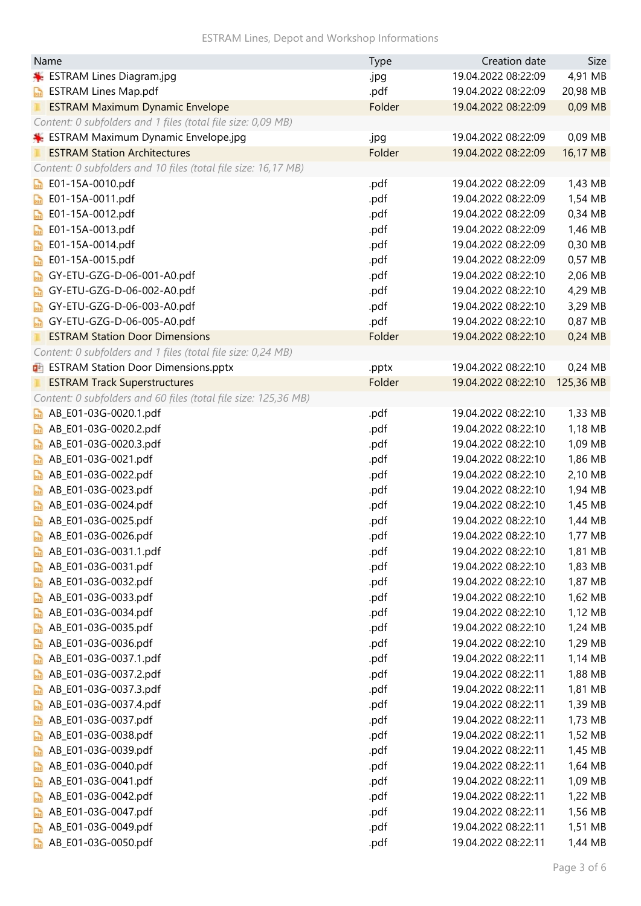ESTRAM Lines, Depot and Workshop Informations

| <b>Type</b>                                                                    | Size      |
|--------------------------------------------------------------------------------|-----------|
| 19.04.2022 08:22:09<br>ESTRAM Lines Diagram.jpg<br>.jpg                        | 4,91 MB   |
| .pdf<br><b>ESTRAM Lines Map.pdf</b><br>19.04.2022 08:22:09<br><b>Dail</b>      | 20,98 MB  |
| 19.04.2022 08:22:09<br><b>ESTRAM Maximum Dynamic Envelope</b><br>Folder        | 0,09 MB   |
| Content: 0 subfolders and 1 files (total file size: 0,09 MB)                   |           |
| ESTRAM Maximum Dynamic Envelope.jpg<br>19.04.2022 08:22:09<br>.jpg             | 0,09 MB   |
| <b>ESTRAM Station Architectures</b><br>Folder<br>19.04.2022 08:22:09           | 16,17 MB  |
| Content: 0 subfolders and 10 files (total file size: 16,17 MB)                 |           |
| E01-15A-0010.pdf<br>.pdf<br>19.04.2022 08:22:09<br>00                          | 1,43 MB   |
| E01-15A-0011.pdf<br>.pdf<br>19.04.2022 08:22:09<br>$\overline{AB}$             | 1,54 MB   |
| E01-15A-0012.pdf<br>19.04.2022 08:22:09<br>.pdf<br>$\frac{1}{2}$               | 0,34 MB   |
| E01-15A-0013.pdf<br>.pdf<br>19.04.2022 08:22:09<br>200                         | 1,46 MB   |
| E01-15A-0014.pdf<br>.pdf<br>19.04.2022 08:22:09<br>$\mathbb{R}$                | 0,30 MB   |
| E01-15A-0015.pdf<br>.pdf<br>19.04.2022 08:22:09<br>晶                           | 0,57 MB   |
| GY-ETU-GZG-D-06-001-A0.pdf<br>19.04.2022 08:22:10<br>.pdf<br>$\frac{1}{2}$     | 2,06 MB   |
| GY-ETU-GZG-D-06-002-A0.pdf<br>.pdf<br>19.04.2022 08:22:10<br>$\frac{1}{2}$     | 4,29 MB   |
| GY-ETU-GZG-D-06-003-A0.pdf<br>19.04.2022 08:22:10<br>.pdf<br><b>DOR</b>        | 3,29 MB   |
| GY-ETU-GZG-D-06-005-A0.pdf<br>.pdf<br>19.04.2022 08:22:10<br>$\mathbb{R}$      | 0,87 MB   |
| <b>ESTRAM Station Door Dimensions</b><br>Folder<br>19.04.2022 08:22:10         | 0,24 MB   |
| Content: 0 subfolders and 1 files (total file size: 0,24 MB)                   |           |
| 19.04.2022 08:22:10<br><b>DE ESTRAM Station Door Dimensions.pptx</b><br>.pptx  | 0,24 MB   |
| Folder<br>19.04.2022 08:22:10<br><b>ESTRAM Track Superstructures</b>           | 125,36 MB |
| Content: 0 subfolders and 60 files (total file size: 125,36 MB)                |           |
| AB_E01-03G-0020.1.pdf<br>.pdf<br>19.04.2022 08:22:10<br><b>PRE</b>             | 1,33 MB   |
| AB_E01-03G-0020.2.pdf<br>.pdf<br>19.04.2022 08:22:10<br><b>Dail</b>            | 1,18 MB   |
| AB_E01-03G-0020.3.pdf<br>19.04.2022 08:22:10<br>.pdf<br><b>Dail</b>            | 1,09 MB   |
| AB_E01-03G-0021.pdf<br>.pdf<br>19.04.2022 08:22:10<br>$\frac{1}{2}$            | 1,86 MB   |
| AB_E01-03G-0022.pdf<br>19.04.2022 08:22:10<br>.pdf<br><b>Dail</b>              | 2,10 MB   |
| AB_E01-03G-0023.pdf<br>.pdf<br>19.04.2022 08:22:10<br>$\sum_{i=1}^{n}$         | 1,94 MB   |
| AB_E01-03G-0024.pdf<br>19.04.2022 08:22:10<br>.pdf<br>$\sum_{i=1}^{n}$         | 1,45 MB   |
| AB_E01-03G-0025.pdf<br>.pdf<br>19.04.2022 08:22:10                             | 1,44 MB   |
| AB_E01-03G-0026.pdf<br>.pdf<br>19.04.2022 08:22:10                             | 1,77 MB   |
| AB_E01-03G-0031.1.pdf<br>.pdf<br>19.04.2022 08:22:10                           | 1,81 MB   |
| AB_E01-03G-0031.pdf<br>19.04.2022 08:22:10<br>.pdf<br>200                      | 1,83 MB   |
| AB_E01-03G-0032.pdf<br>.pdf<br>19.04.2022 08:22:10<br>200                      | 1,87 MB   |
| AB_E01-03G-0033.pdf<br>.pdf<br>19.04.2022 08:22:10<br><b>DOR</b>               | 1,62 MB   |
| AB_E01-03G-0034.pdf<br>.pdf<br>19.04.2022 08:22:10<br>200                      | 1,12 MB   |
| AB_E01-03G-0035.pdf<br>19.04.2022 08:22:10<br>.pdf<br>$\frac{1}{2}$            | 1,24 MB   |
| AB_E01-03G-0036.pdf<br>19.04.2022 08:22:10<br>.pdf<br>200                      | 1,29 MB   |
| AB_E01-03G-0037.1.pdf<br>.pdf<br>19.04.2022 08:22:11<br>$\frac{1}{2}$          | 1,14 MB   |
| AB_E01-03G-0037.2.pdf<br>19.04.2022 08:22:11<br>.pdf<br><b>Dail</b>            | 1,88 MB   |
| AB_E01-03G-0037.3.pdf<br>19.04.2022 08:22:11<br>.pdf<br>200                    | 1,81 MB   |
| AB_E01-03G-0037.4.pdf<br>19.04.2022 08:22:11<br>.pdf<br>品                      | 1,39 MB   |
| AB_E01-03G-0037.pdf<br>19.04.2022 08:22:11<br>.pdf<br>品                        | 1,73 MB   |
| AB_E01-03G-0038.pdf<br>.pdf<br>19.04.2022 08:22:11<br>$\mathbb{R}$             | 1,52 MB   |
| AB_E01-03G-0039.pdf<br>19.04.2022 08:22:11<br>.pdf<br>$\sim$                   | 1,45 MB   |
| AB_E01-03G-0040.pdf<br>19.04.2022 08:22:11<br>.pdf<br><b>DBR</b>               | 1,64 MB   |
| AB_E01-03G-0041.pdf<br>.pdf<br>19.04.2022 08:22:11<br>品                        | 1,09 MB   |
| AB_E01-03G-0042.pdf<br>19.04.2022 08:22:11<br>.pdf<br>晶                        | 1,22 MB   |
| AB_E01-03G-0047.pdf<br>19.04.2022 08:22:11<br>.pdf<br><b>Part</b>              | 1,56 MB   |
| AB_E01-03G-0049.pdf<br>19.04.2022 08:22:11<br>.pdf<br>$\frac{1}{2}$            | 1,51 MB   |
| AB_E01-03G-0050.pdf<br>19.04.2022 08:22:11<br>.pdf<br>$\overline{\phantom{a}}$ | 1,44 MB   |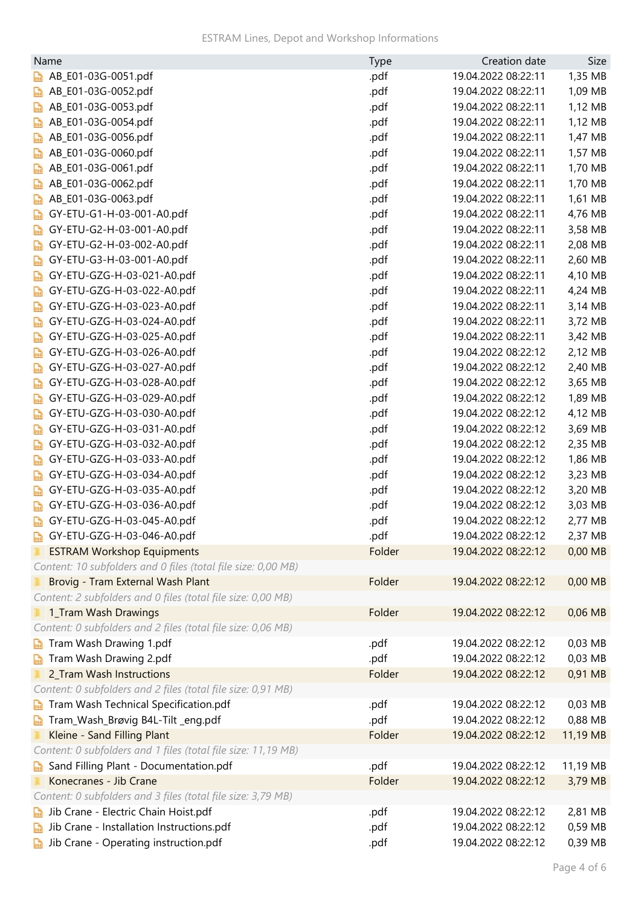| Name                                                          | Type   | Creation date       | Size     |
|---------------------------------------------------------------|--------|---------------------|----------|
| AB_E01-03G-0051.pdf<br><b>Dail</b>                            | .pdf   | 19.04.2022 08:22:11 | 1,35 MB  |
| AB_E01-03G-0052.pdf<br><b>Dail</b>                            | .pdf   | 19.04.2022 08:22:11 | 1,09 MB  |
| AB_E01-03G-0053.pdf<br><b>Dail</b>                            | .pdf   | 19.04.2022 08:22:11 | 1,12 MB  |
| AB_E01-03G-0054.pdf<br><b>Dail</b>                            | .pdf   | 19.04.2022 08:22:11 | 1,12 MB  |
| AB_E01-03G-0056.pdf<br><b>Dail</b>                            | .pdf   | 19.04.2022 08:22:11 | 1,47 MB  |
| AB_E01-03G-0060.pdf<br>part                                   | .pdf   | 19.04.2022 08:22:11 | 1,57 MB  |
| AB_E01-03G-0061.pdf<br><b>Dail</b>                            | .pdf   | 19.04.2022 08:22:11 | 1,70 MB  |
| AB_E01-03G-0062.pdf<br><b>Dail</b>                            | .pdf   | 19.04.2022 08:22:11 | 1,70 MB  |
| AB_E01-03G-0063.pdf<br><b>Dail</b>                            | .pdf   | 19.04.2022 08:22:11 | 1,61 MB  |
| GY-ETU-G1-H-03-001-A0.pdf<br><b>Dail</b>                      | .pdf   | 19.04.2022 08:22:11 | 4,76 MB  |
| GY-ETU-G2-H-03-001-A0.pdf<br><b>Dail</b>                      | .pdf   | 19.04.2022 08:22:11 | 3,58 MB  |
| GY-ETU-G2-H-03-002-A0.pdf<br>200                              | .pdf   | 19.04.2022 08:22:11 | 2,08 MB  |
| GY-ETU-G3-H-03-001-A0.pdf<br><b>Dail</b>                      | .pdf   | 19.04.2022 08:22:11 | 2,60 MB  |
| GY-ETU-GZG-H-03-021-A0.pdf<br>par                             | .pdf   | 19.04.2022 08:22:11 | 4,10 MB  |
| GY-ETU-GZG-H-03-022-A0.pdf<br><b>Dail</b>                     | .pdf   | 19.04.2022 08:22:11 | 4,24 MB  |
| GY-ETU-GZG-H-03-023-A0.pdf<br><b>Dail</b>                     | .pdf   | 19.04.2022 08:22:11 | 3,14 MB  |
| GY-ETU-GZG-H-03-024-A0.pdf<br>200                             | .pdf   | 19.04.2022 08:22:11 | 3,72 MB  |
| GY-ETU-GZG-H-03-025-A0.pdf<br>$\frac{1}{2}$                   | .pdf   | 19.04.2022 08:22:11 | 3,42 MB  |
| GY-ETU-GZG-H-03-026-A0.pdf<br>$\overline{AB}$                 | .pdf   | 19.04.2022 08:22:12 | 2,12 MB  |
| GY-ETU-GZG-H-03-027-A0.pdf<br><b>Dail</b>                     | .pdf   | 19.04.2022 08:22:12 | 2,40 MB  |
| GY-ETU-GZG-H-03-028-A0.pdf<br>$\frac{1}{2}$                   | .pdf   | 19.04.2022 08:22:12 | 3,65 MB  |
| GY-ETU-GZG-H-03-029-A0.pdf<br>200                             | .pdf   | 19.04.2022 08:22:12 | 1,89 MB  |
| GY-ETU-GZG-H-03-030-A0.pdf<br>$\frac{1}{2}$                   | .pdf   | 19.04.2022 08:22:12 | 4,12 MB  |
| GY-ETU-GZG-H-03-031-A0.pdf<br><b>Dail</b>                     | .pdf   | 19.04.2022 08:22:12 | 3,69 MB  |
| GY-ETU-GZG-H-03-032-A0.pdf<br>200                             | .pdf   | 19.04.2022 08:22:12 | 2,35 MB  |
| GY-ETU-GZG-H-03-033-A0.pdf<br>$\frac{1}{2}$                   | .pdf   | 19.04.2022 08:22:12 | 1,86 MB  |
| GY-ETU-GZG-H-03-034-A0.pdf<br>200                             | .pdf   | 19.04.2022 08:22:12 | 3,23 MB  |
| GY-ETU-GZG-H-03-035-A0.pdf<br>$\mathbb{R}$                    | .pdf   | 19.04.2022 08:22:12 | 3,20 MB  |
| GY-ETU-GZG-H-03-036-A0.pdf<br>品                               | .pdf   | 19.04.2022 08:22:12 | 3,03 MB  |
| GY-ETU-GZG-H-03-045-A0.pdf<br>$\frac{1}{2}$                   | .pdf   | 19.04.2022 08:22:12 | 2,77 MB  |
| GY-ETU-GZG-H-03-046-A0.pdf                                    | .pdf   | 19.04.2022 08:22:12 | 2,37 MB  |
| <b>ESTRAM Workshop Equipments</b>                             | Folder | 19.04.2022 08:22:12 | 0,00 MB  |
| Content: 10 subfolders and 0 files (total file size: 0,00 MB) |        |                     |          |
| Brovig - Tram External Wash Plant                             | Folder | 19.04.2022 08:22:12 | 0,00 MB  |
| Content: 2 subfolders and 0 files (total file size: 0,00 MB)  |        |                     |          |
| 1_Tram Wash Drawings                                          | Folder | 19.04.2022 08:22:12 | 0,06 MB  |
| Content: 0 subfolders and 2 files (total file size: 0,06 MB)  |        |                     |          |
| Tram Wash Drawing 1.pdf<br><b>bail</b>                        | .pdf   | 19.04.2022 08:22:12 | 0,03 MB  |
| Tram Wash Drawing 2.pdf<br><b>Dark</b>                        | .pdf   | 19.04.2022 08:22:12 | 0,03 MB  |
| 2_Tram Wash Instructions                                      | Folder | 19.04.2022 08:22:12 | 0,91 MB  |
| Content: 0 subfolders and 2 files (total file size: 0,91 MB)  |        |                     |          |
| Tram Wash Technical Specification.pdf<br><b>Dark</b>          | .pdf   | 19.04.2022 08:22:12 | 0,03 MB  |
| Tram_Wash_Brøvig B4L-Tilt _eng.pdf<br>ban                     | .pdf   | 19.04.2022 08:22:12 | 0,88 MB  |
| Kleine - Sand Filling Plant                                   | Folder | 19.04.2022 08:22:12 | 11,19 MB |
| Content: 0 subfolders and 1 files (total file size: 11,19 MB) |        |                     |          |
| Sand Filling Plant - Documentation.pdf                        | .pdf   | 19.04.2022 08:22:12 | 11,19 MB |
| <b>bail</b><br>Konecranes - Jib Crane                         | Folder | 19.04.2022 08:22:12 | 3,79 MB  |
| Content: 0 subfolders and 3 files (total file size: 3,79 MB)  |        |                     |          |
| Jib Crane - Electric Chain Hoist.pdf<br>200                   | .pdf   | 19.04.2022 08:22:12 | 2,81 MB  |
| Jib Crane - Installation Instructions.pdf<br><b>Dail</b>      | .pdf   | 19.04.2022 08:22:12 | 0,59 MB  |
| Jib Crane - Operating instruction.pdf                         | .pdf   | 19.04.2022 08:22:12 | 0,39 MB  |
|                                                               |        |                     |          |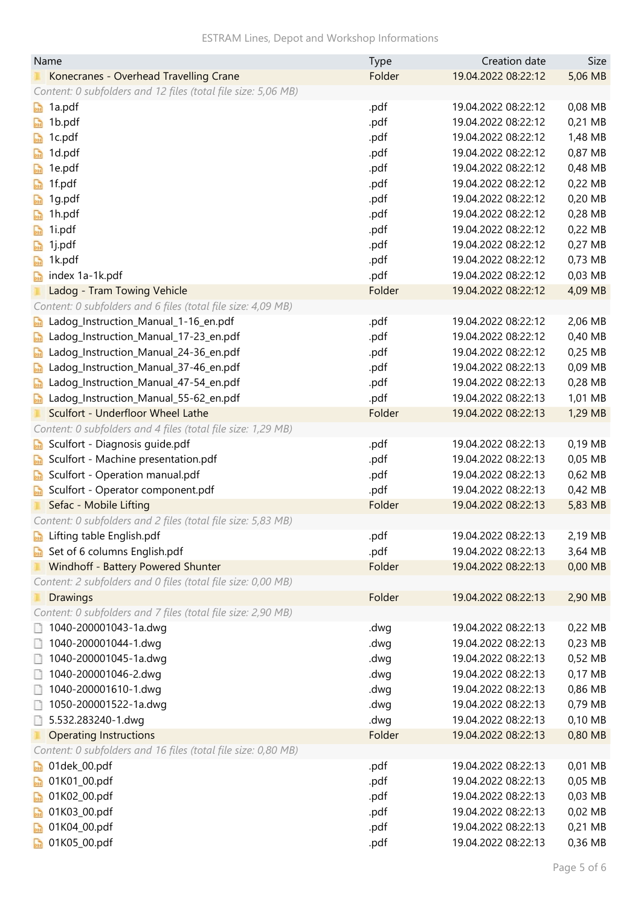| <b>ESTRAM Lines, Depot and Workshop Informations</b> |  |  |  |
|------------------------------------------------------|--|--|--|
|------------------------------------------------------|--|--|--|

| Folder<br>19.04.2022 08:22:12<br>Konecranes - Overhead Travelling Crane               | 5,06 MB |
|---------------------------------------------------------------------------------------|---------|
|                                                                                       |         |
| Content: 0 subfolders and 12 files (total file size: 5,06 MB)                         |         |
| 19.04.2022 08:22:12<br>1a.pdf<br>.pdf<br>$\frac{1}{2}$                                | 0,08 MB |
| 1b.pdf<br>.pdf<br>19.04.2022 08:22:12<br>bail                                         | 0,21 MB |
| 19.04.2022 08:22:12<br>1c.pdf<br>.pdf<br>$\frac{1}{2}$                                | 1,48 MB |
| 1d.pdf<br>.pdf<br>19.04.2022 08:22:12<br>$\frac{1}{2}$                                | 0,87 MB |
| 19.04.2022 08:22:12<br>1e.pdf<br>.pdf<br>$\frac{1}{2}$                                | 0,48 MB |
| 1f.pdf<br>19.04.2022 08:22:12<br>.pdf<br>品                                            | 0,22 MB |
| 19.04.2022 08:22:12<br>1g.pdf<br>.pdf<br>品                                            | 0,20 MB |
| 19.04.2022 08:22:12<br>1h.pdf<br>.pdf<br>局                                            | 0,28 MB |
| 19.04.2022 08:22:12<br>1i.pdf<br>.pdf<br>局                                            | 0,22 MB |
| 19.04.2022 08:22:12<br>1j.pdf<br>.pdf<br>昂                                            | 0,27 MB |
| 1k.pdf<br>19.04.2022 08:22:12<br>.pdf<br>$\mathbb{R}$                                 | 0,73 MB |
| 19.04.2022 08:22:12<br>index 1a-1k.pdf<br>.pdf<br>$\mathbb{R}$                        | 0,03 MB |
| 19.04.2022 08:22:12<br>Ladog - Tram Towing Vehicle<br>Folder                          | 4,09 MB |
| Content: 0 subfolders and 6 files (total file size: 4,09 MB)                          |         |
| Ladog_Instruction_Manual_1-16_en.pdf<br>.pdf<br>19.04.2022 08:22:12<br>$\frac{1}{2}$  | 2,06 MB |
| 19.04.2022 08:22:12<br>Ladog_Instruction_Manual_17-23_en.pdf<br>.pdf<br>$\frac{1}{2}$ | 0,40 MB |
| Ladog_Instruction_Manual_24-36_en.pdf<br>19.04.2022 08:22:12<br>.pdf<br>$\frac{1}{2}$ | 0,25 MB |
| Ladog_Instruction_Manual_37-46_en.pdf<br>19.04.2022 08:22:13<br>.pdf<br>$\frac{1}{2}$ | 0,09 MB |
| Ladog_Instruction_Manual_47-54_en.pdf<br>19.04.2022 08:22:13<br>.pdf<br>$\mathbb{R}$  | 0,28 MB |
| Ladog_Instruction_Manual_55-62_en.pdf<br>.pdf<br>19.04.2022 08:22:13<br>$\mathbb{R}$  | 1,01 MB |
| Sculfort - Underfloor Wheel Lathe<br>Folder<br>19.04.2022 08:22:13                    | 1,29 MB |
| Content: 0 subfolders and 4 files (total file size: 1,29 MB)                          |         |
| 19.04.2022 08:22:13<br>Sculfort - Diagnosis guide.pdf<br>.pdf<br>$\frac{1}{2}$        | 0,19 MB |
| Sculfort - Machine presentation.pdf<br>19.04.2022 08:22:13<br>.pdf<br>$\frac{1}{2}$   | 0,05 MB |
| Sculfort - Operation manual.pdf<br>19.04.2022 08:22:13<br>.pdf<br>$\frac{1}{2}$       | 0,62 MB |
| Sculfort - Operator component.pdf<br>19.04.2022 08:22:13<br>.pdf<br>bil               | 0,42 MB |
| Sefac - Mobile Lifting<br>19.04.2022 08:22:13<br>Folder                               | 5,83 MB |
| Content: 0 subfolders and 2 files (total file size: 5,83 MB)                          |         |
| Lifting table English.pdf<br>.pdf<br>19.04.2022 08:22:13                              | 2,19 MB |
| Set of 6 columns English.pdf<br>19.04.2022 08:22:13<br>.pdf<br>par                    | 3,64 MB |
| Windhoff - Battery Powered Shunter<br>Folder<br>19.04.2022 08:22:13                   | 0,00 MB |
| Content: 2 subfolders and 0 files (total file size: 0,00 MB)                          |         |
| Folder<br>19.04.2022 08:22:13<br><b>Drawings</b>                                      | 2,90 MB |
| Content: 0 subfolders and 7 files (total file size: 2,90 MB)                          |         |
| 1040-200001043-1a.dwg<br>19.04.2022 08:22:13<br>.dwg<br>u                             | 0,22 MB |
| 1040-200001044-1.dwg<br>.dwg<br>19.04.2022 08:22:13<br>n                              | 0,23 MB |
| 1040-200001045-1a.dwg<br>19.04.2022 08:22:13<br>.dwg<br>IJ                            | 0,52 MB |
| 1040-200001046-2.dwg<br>19.04.2022 08:22:13<br>.dwg<br>n                              | 0,17 MB |
| 1040-200001610-1.dwg<br>.dwg<br>19.04.2022 08:22:13<br>n                              | 0,86 MB |
| 1050-200001522-1a.dwg<br>19.04.2022 08:22:13<br>.dwg<br>B                             | 0,79 MB |
| 5.532.283240-1.dwg<br>19.04.2022 08:22:13<br>.dwg<br>n                                | 0,10 MB |
| <b>Operating Instructions</b><br>Folder<br>19.04.2022 08:22:13                        | 0,80 MB |
| Content: 0 subfolders and 16 files (total file size: 0,80 MB)                         |         |
| 01dek_00.pdf<br>.pdf<br>19.04.2022 08:22:13<br>$\frac{1}{2}$                          | 0,01 MB |
| 01K01_00.pdf<br>.pdf<br>19.04.2022 08:22:13<br>$\frac{1}{2}$                          | 0,05 MB |
| 01K02_00.pdf<br>19.04.2022 08:22:13<br>.pdf<br>$\frac{1}{2}$                          | 0,03 MB |
| 01K03_00.pdf<br>19.04.2022 08:22:13<br>.pdf<br>$\frac{1}{2}$                          | 0,02 MB |
| 01K04_00.pdf<br>19.04.2022 08:22:13<br>.pdf                                           | 0,21 MB |
| 01K05_00.pdf<br>19.04.2022 08:22:13<br>.pdf                                           | 0,36 MB |